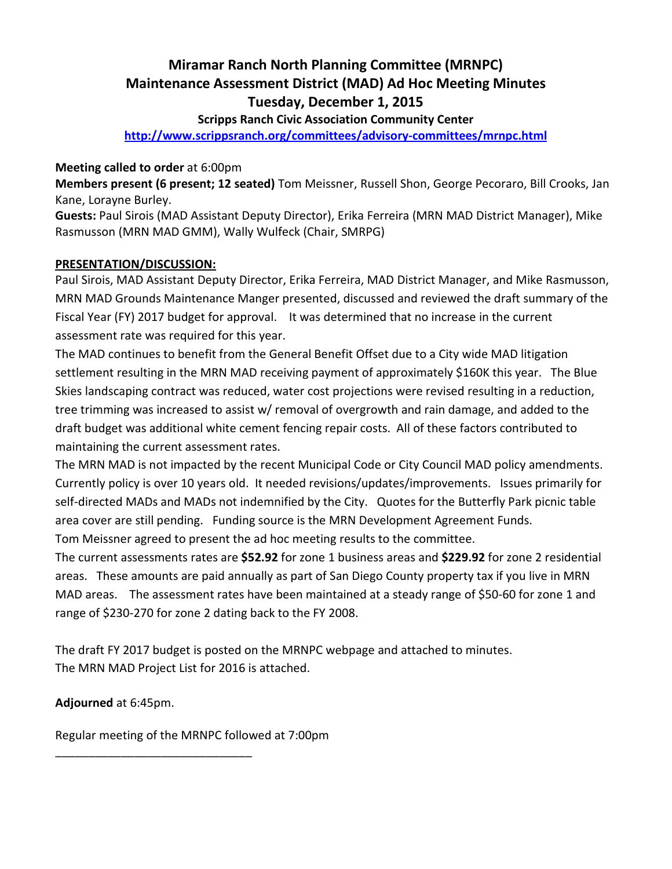# **Miramar Ranch North Planning Committee (MRNPC) Maintenance Assessment District (MAD) Ad Hoc Meeting Minutes Tuesday, December 1, 2015**

**Scripps Ranch Civic Association Community Center** 

**http://www.scrippsranch.org/committees/advisory-committees/mrnpc.html**

### **Meeting called to order** at 6:00pm

**Members present (6 present; 12 seated)** Tom Meissner, Russell Shon, George Pecoraro, Bill Crooks, Jan Kane, Lorayne Burley.

**Guests:** Paul Sirois (MAD Assistant Deputy Director), Erika Ferreira (MRN MAD District Manager), Mike Rasmusson (MRN MAD GMM), Wally Wulfeck (Chair, SMRPG)

## **PRESENTATION/DISCUSSION:**

Paul Sirois, MAD Assistant Deputy Director, Erika Ferreira, MAD District Manager, and Mike Rasmusson, MRN MAD Grounds Maintenance Manger presented, discussed and reviewed the draft summary of the Fiscal Year (FY) 2017 budget for approval. It was determined that no increase in the current assessment rate was required for this year.

The MAD continues to benefit from the General Benefit Offset due to a City wide MAD litigation settlement resulting in the MRN MAD receiving payment of approximately \$160K this year. The Blue Skies landscaping contract was reduced, water cost projections were revised resulting in a reduction, tree trimming was increased to assist w/ removal of overgrowth and rain damage, and added to the draft budget was additional white cement fencing repair costs. All of these factors contributed to maintaining the current assessment rates.

The MRN MAD is not impacted by the recent Municipal Code or City Council MAD policy amendments. Currently policy is over 10 years old. It needed revisions/updates/improvements. Issues primarily for self-directed MADs and MADs not indemnified by the City. Quotes for the Butterfly Park picnic table area cover are still pending. Funding source is the MRN Development Agreement Funds. Tom Meissner agreed to present the ad hoc meeting results to the committee.

The current assessments rates are **\$52.92** for zone 1 business areas and **\$229.92** for zone 2 residential areas. These amounts are paid annually as part of San Diego County property tax if you live in MRN MAD areas. The assessment rates have been maintained at a steady range of \$50-60 for zone 1 and range of \$230-270 for zone 2 dating back to the FY 2008.

The draft FY 2017 budget is posted on the MRNPC webpage and attached to minutes. The MRN MAD Project List for 2016 is attached.

**Adjourned** at 6:45pm.

Regular meeting of the MRNPC followed at 7:00pm

\_\_\_\_\_\_\_\_\_\_\_\_\_\_\_\_\_\_\_\_\_\_\_\_\_\_\_\_\_\_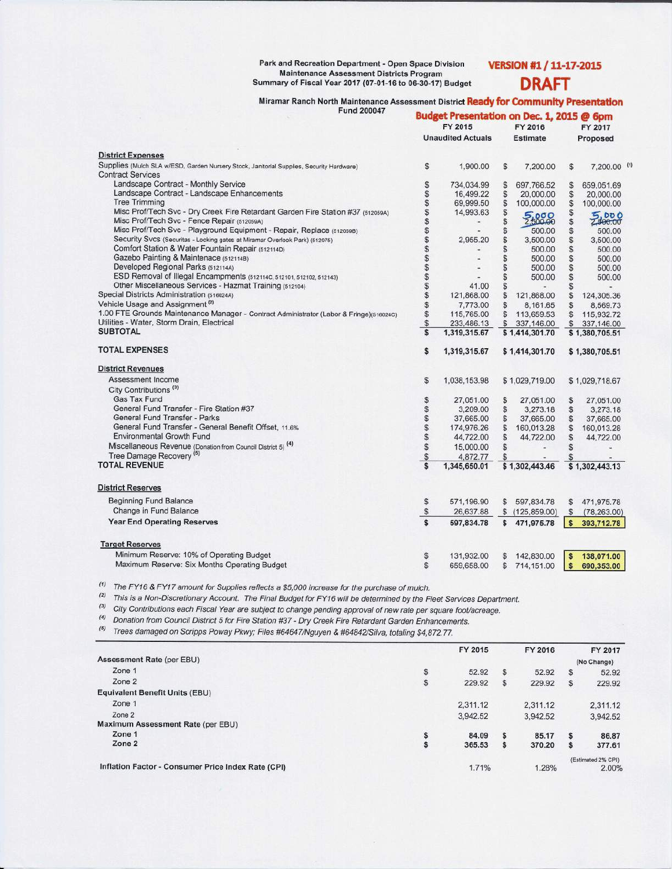#### Park and Recreation Department - Open Space Division **Maintenance Assessment Districts Program** Summary of Fiscal Year 2017 (07-01-16 to 06-30-17) Budget

## VERSION #1 / 11-17-2015 **DRAFT**

Miramar Ranch North Maintenance Assessment District Ready for Community Presentation

| <b>Fund 200047</b> |  |  |
|--------------------|--|--|
|                    |  |  |

|                                                                                          | Budget Presentation on Dec. 1, 2015 @ 6pm |              |                 |                 |              |                        |  |  |
|------------------------------------------------------------------------------------------|-------------------------------------------|--------------|-----------------|-----------------|--------------|------------------------|--|--|
|                                                                                          | FY 2015                                   |              |                 | FY 2016         |              | FY 2017                |  |  |
|                                                                                          | <b>Unaudited Actuals</b>                  |              | <b>Estimate</b> |                 | Proposed     |                        |  |  |
| <b>District Expenses</b>                                                                 |                                           |              |                 |                 |              |                        |  |  |
| Supplies (Mulch SLA w/ESD, Garden Nursery Stock, Janitorial Supplies, Security Hardware) | \$                                        | 1,900.00     | S               | 7,200.00        | \$           | 7,200.00 (1)           |  |  |
| <b>Contract Services</b>                                                                 |                                           |              |                 |                 |              |                        |  |  |
| Landscape Contract - Monthly Service                                                     | \$                                        | 734.034.99   | S               | 697.766.52      | \$           | 659,051.69             |  |  |
| Landscape Contract - Landscape Enhancements                                              | S                                         | 16.499.22    | S               | 20,000.00       | \$           | 20,000.00              |  |  |
| <b>Tree Trimming</b>                                                                     |                                           | 69,999.50    | \$              | 100,000.00      | S            | 100,000.00             |  |  |
| Misc Prof/Tech Svc - Dry Creek Fire Retardant Garden Fire Station #37 (512059A)          |                                           | 14,993.63    | \$              |                 |              |                        |  |  |
| Misc Prof/Tech Svc - Fence Repair (512059A)                                              | 595859599                                 |              | \$              | 2500.00         | 99 GD        | 5000                   |  |  |
| Misc Prof/Tech Svc - Playground Equipment - Repair, Replace (5120598)                    |                                           |              | \$              | 500.00          | S            | 500.00                 |  |  |
| Security Svcs (Securitas - Locking gates at Miramar Overlook Park) (512075)              |                                           | 2,955.20     | \$              | 3,500.00        | S            | 3,500.00               |  |  |
| Comfort Station & Water Fountain Repair (512114D)                                        |                                           |              | \$              | 500.00          | \$           | 500.00                 |  |  |
| Gazebo Painting & Maintenace (512114B)                                                   |                                           |              | \$              | 500.00          | \$           | 500.00                 |  |  |
| Developed Regional Parks (512114A)                                                       |                                           |              | \$              | 500.00          | \$           | 500.00                 |  |  |
| ESD Removal of Illegal Encampments (512114C, 512101, 512102, 512143)                     | \$                                        |              | \$              | 500.00          | \$           | 500.00                 |  |  |
| Other Miscellaneous Services - Hazmat Training (512104)                                  | \$                                        | 41.00        | \$              |                 | $\mathbb{S}$ |                        |  |  |
| Special Districts Administration (516024A)                                               | $\ddot{\$}$                               | 121,868.00   | \$              | 121,868.00      | \$           | 124,305.36             |  |  |
| Vehicle Usage and Assignment <sup>(2)</sup>                                              | \$                                        | 7,773.00     | \$              | 8,161.65        | \$           |                        |  |  |
| 1.00 FTE Grounds Maintenance Manager - Contract Administrator (Labor & Fringe)(516024C)  | \$                                        | 115,765.00   | $\mathbb{S}$    | 113,659.53      | $\mathbb{S}$ | 8,569.73<br>115,932.72 |  |  |
| Utilities - Water, Storm Drain, Electrical                                               | $$\mathfrak{F}$$                          | 233,486.13   |                 | \$ 337,146.00   |              | \$337,146.00           |  |  |
| <b>SUBTOTAL</b>                                                                          | Ś                                         | 1,319,315.67 |                 | \$1,414,301.70  |              | \$1,380,705.51         |  |  |
|                                                                                          |                                           |              |                 |                 |              |                        |  |  |
| <b>TOTAL EXPENSES</b>                                                                    | \$                                        | 1,319,315.67 |                 | \$1,414,301.70  |              | \$1,380,705.51         |  |  |
| <b>District Revenues</b>                                                                 |                                           |              |                 |                 |              |                        |  |  |
| Assessment Income                                                                        | S.                                        | 1,038,153.98 |                 | \$1,029,719.00  |              | \$1,029,718.67         |  |  |
| City Contributions <sup>(3)</sup>                                                        |                                           |              |                 |                 |              |                        |  |  |
| <b>Gas Tax Fund</b>                                                                      | \$                                        | 27,051.00    | S               | 27,051.00       | \$           | 27,051.00              |  |  |
| General Fund Transfer - Fire Station #37                                                 |                                           | 3,209.00     | \$              | 3,273.18        | \$           | 3,273.18               |  |  |
| General Fund Transfer - Parks                                                            | 6666                                      | 37,665.00    | $\mathbb{S}$    | 37,665.00       | \$           | 37,665.00              |  |  |
| General Fund Transfer - General Benefit Offset, 11.6%                                    |                                           | 174,976.26   | S               | 160,013.28      | \$           | 160,013.28             |  |  |
| <b>Environmental Growth Fund</b>                                                         |                                           | 44,722.00    | S               | 44,722.00       | \$           | 44,722.00              |  |  |
| Miscellaneous Revenue (Donation from Council District 5) <sup>(4)</sup>                  | S                                         | 15,000.00    | S               |                 | \$           |                        |  |  |
| Tree Damage Recovery <sup>(5)</sup>                                                      | $\mathbb{S}$                              | 4,872.77     | S               |                 | \$           |                        |  |  |
| <b>TOTAL REVENUE</b>                                                                     | \$                                        | 1,345,650.01 |                 | \$1,302,443.46  |              | \$1,302,443.13         |  |  |
|                                                                                          |                                           |              |                 |                 |              |                        |  |  |
| <b>District Reserves</b>                                                                 |                                           |              |                 |                 |              |                        |  |  |
| <b>Beginning Fund Balance</b>                                                            | \$                                        | 571,196.90   |                 | \$ 597,834.78   | \$           | 471,975.78             |  |  |
| Change in Fund Balance                                                                   | $\$$                                      | 26,637.88    |                 | \$(125, 859.00) | $\mathbb{S}$ | (78, 263, 00)          |  |  |
| <b>Year End Operating Reserves</b>                                                       | $\hat{\mathbf{s}}$                        | 597.834.78   | $\mathbf{s}$    | 471,975.78      | $\mathsf{s}$ | 393,712.78             |  |  |
| <b>Target Reserves</b>                                                                   |                                           |              |                 |                 |              |                        |  |  |
|                                                                                          |                                           |              |                 |                 |              |                        |  |  |
| Minimum Reserve: 10% of Operating Budget                                                 | \$                                        | 131,932.00   |                 | 142,830.00      | s            | 138,071.00             |  |  |
| Maximum Reserve: Six Months Operating Budget                                             | \$                                        | 659,658.00   | \$              | 714,151.00      | s            | 690,353.00             |  |  |

 $(1)$  The FY16 & FY17 amount for Supplies reflects a \$5,000 increase for the purchase of mulch.

<sup>(2)</sup> This is a Non-Discretionary Account. The Final Budget for FY16 will be determined by the Fleet Services Department.

(3) City Contributions each Fiscal Year are subject to change pending approval of new rate per square foot/acreage.

(4) Donation from Council District 5 for Fire Station #37 - Dry Creek Fire Retardant Garden Enhancements.

<sup>(5)</sup> Trees damaged on Scripps Poway Pkwy; Files #64647/Nguyen & #64842/Silva, totaling \$4,872.77.

|                                                    |    | FY 2015  |              | FY 2016  |   | FY 2017            |
|----------------------------------------------------|----|----------|--------------|----------|---|--------------------|
| Assessment Rate (per EBU)                          |    |          |              |          |   | (No Change)        |
| Zone 1                                             | S  | 52.92    | $\mathbb{S}$ | 52.92    | S | 52.92              |
| Zone 2                                             | S  | 229.92   | \$           | 229.92   | s | 229.92             |
| Equivalent Benefit Units (EBU)                     |    |          |              |          |   |                    |
| Zone 1                                             |    | 2,311.12 |              | 2.311.12 |   | 2.311.12           |
| Zone 2                                             |    | 3,942.52 |              | 3.942.52 |   | 3.942.52           |
| Maximum Assessment Rate (per EBU)                  |    |          |              |          |   |                    |
| Zone 1                                             | \$ | 84.09    | s            | 85.17    |   | 86.87              |
| Zone 2                                             | s  | 365.53   | \$           | 370.20   | э | 377.61             |
|                                                    |    |          |              |          |   | (Estimated 2% CPI) |
| Inflation Factor - Consumer Price Index Rate (CPI) |    | 1.71%    |              | 1.28%    |   | 2.00%              |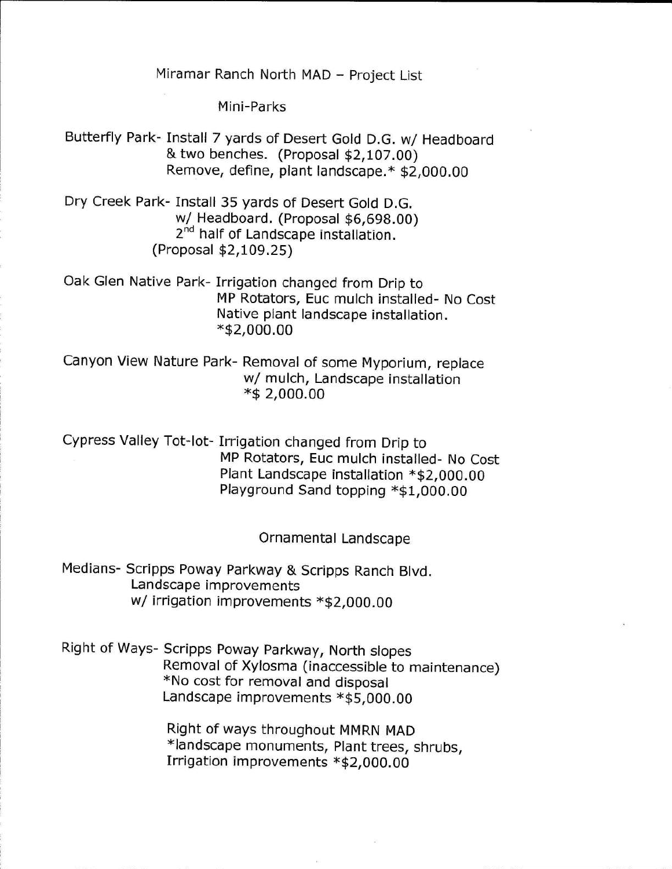Miramar Ranch North MAD - Project List

Mini-Parks

Butterfly Park- Install 7 yards of Desert Gold D.G. w/ Headboard & two benches. (Proposal \$2,107.00) Remove, define, plant landscape.\* \$2,000.00

Dry Creek Park- Install 35 yards of Desert Gold D.G. w/ Headboard. (Proposal \$6,698.00) 2<sup>nd</sup> half of Landscape installation. (Proposal \$2,109.25)

Oak Glen Native Park- Irrigation changed from Drip to MP Rotators, Euc mulch installed- No Cost Native plant landscape installation. \*\$2,000.00

Canyon View Nature Park- Removal of some Myporium, replace w/ mulch, Landscape installation \*\$ 2,000.00

Cypress Valley Tot-lot- Irrigation changed from Drip to MP Rotators, Euc mulch installed- No Cost Plant Landscape installation \*\$2,000.00 Playground Sand topping \*\$1,000.00

### Ornamental Landscape

Medians- Scripps Poway Parkway & Scripps Ranch Blvd. Landscape improvements w/ irrigation improvements \*\$2,000.00

Right of Ways- Scripps Poway Parkway, North slopes Removal of Xylosma (inaccessible to maintenance) \*No cost for removal and disposal Landscape improvements \*\$5,000.00

> Right of ways throughout MMRN MAD \*landscape monuments, Plant trees, shrubs, Irrigation improvements \*\$2,000.00